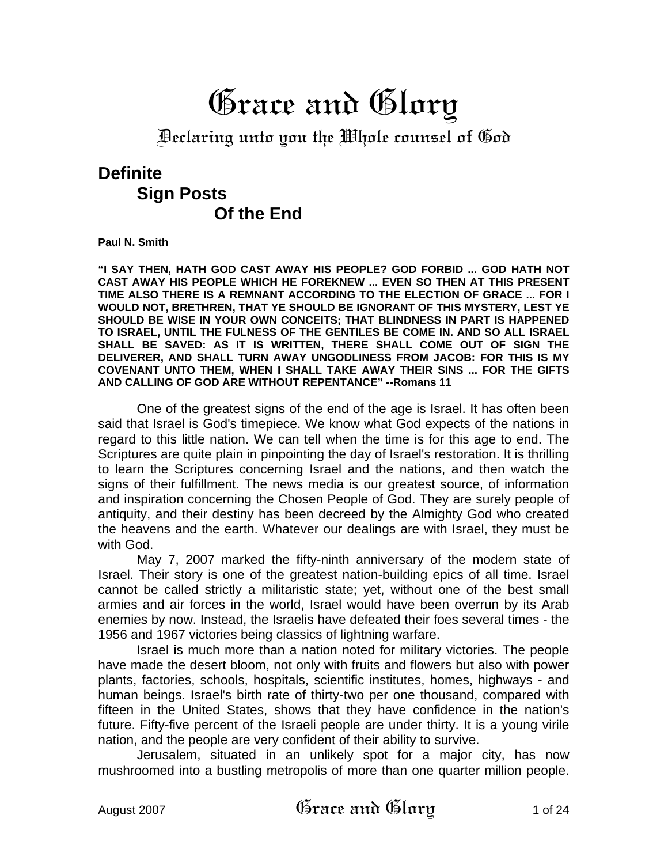# Grace and Glory

Declaring unto you the Whole counsel of God

# **Definite Sign Posts Of the End**

**Paul N. Smith**

**"I SAY THEN, HATH GOD CAST AWAY HIS PEOPLE? GOD FORBID ... GOD HATH NOT CAST AWAY HIS PEOPLE WHICH HE FOREKNEW ... EVEN SO THEN AT THIS PRESENT TIME ALSO THERE IS A REMNANT ACCORDING TO THE ELECTION OF GRACE ... FOR I WOULD NOT, BRETHREN, THAT YE SHOULD BE IGNORANT OF THIS MYSTERY, LEST YE SHOULD BE WISE IN YOUR OWN CONCEITS; THAT BLINDNESS IN PART IS HAPPENED TO ISRAEL, UNTIL THE FULNESS OF THE GENTILES BE COME IN. AND SO ALL ISRAEL SHALL BE SAVED: AS IT IS WRITTEN, THERE SHALL COME OUT OF SIGN THE DELIVERER, AND SHALL TURN AWAY UNGODLINESS FROM JACOB: FOR THIS IS MY COVENANT UNTO THEM, WHEN I SHALL TAKE AWAY THEIR SINS ... FOR THE GIFTS AND CALLING OF GOD ARE WITHOUT REPENTANCE" --Romans 11** 

One of the greatest signs of the end of the age is Israel. It has often been said that Israel is God's timepiece. We know what God expects of the nations in regard to this little nation. We can tell when the time is for this age to end. The Scriptures are quite plain in pinpointing the day of Israel's restoration. It is thrilling to learn the Scriptures concerning Israel and the nations, and then watch the signs of their fulfillment. The news media is our greatest source, of information and inspiration concerning the Chosen People of God. They are surely people of antiquity, and their destiny has been decreed by the Almighty God who created the heavens and the earth. Whatever our dealings are with Israel, they must be with God.

May 7, 2007 marked the fifty-ninth anniversary of the modern state of Israel. Their story is one of the greatest nation-building epics of all time. Israel cannot be called strictly a militaristic state; yet, without one of the best small armies and air forces in the world, Israel would have been overrun by its Arab enemies by now. Instead, the Israelis have defeated their foes several times - the 1956 and 1967 victories being classics of lightning warfare.

Israel is much more than a nation noted for military victories. The people have made the desert bloom, not only with fruits and flowers but also with power plants, factories, schools, hospitals, scientific institutes, homes, highways - and human beings. Israel's birth rate of thirty-two per one thousand, compared with fifteen in the United States, shows that they have confidence in the nation's future. Fifty-five percent of the Israeli people are under thirty. It is a young virile nation, and the people are very confident of their ability to survive.

Jerusalem, situated in an unlikely spot for a major city, has now mushroomed into a bustling metropolis of more than one quarter million people.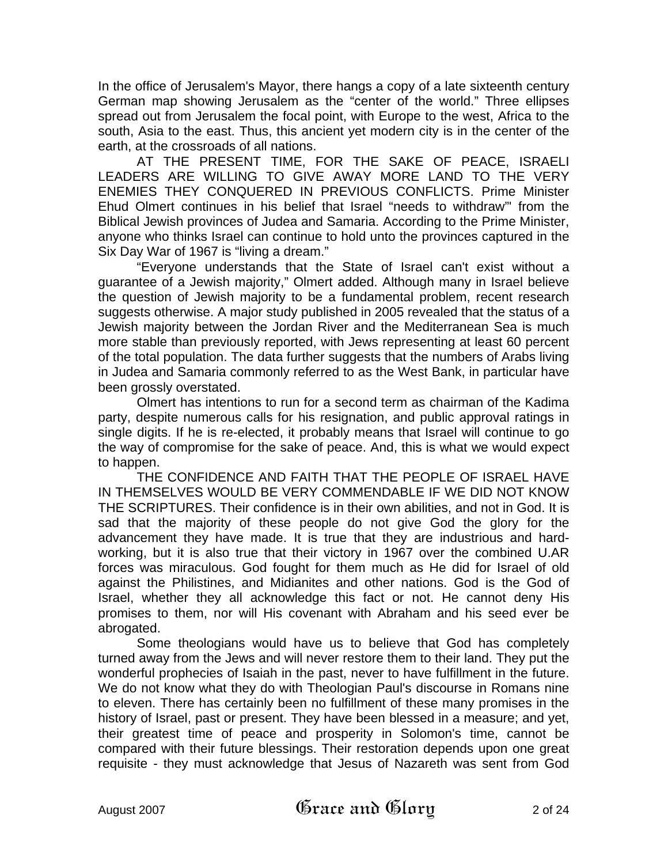In the office of Jerusalem's Mayor, there hangs a copy of a late sixteenth century German map showing Jerusalem as the "center of the world." Three ellipses spread out from Jerusalem the focal point, with Europe to the west, Africa to the south, Asia to the east. Thus, this ancient yet modern city is in the center of the earth, at the crossroads of all nations.

AT THE PRESENT TIME, FOR THE SAKE OF PEACE, ISRAELI LEADERS ARE WILLING TO GIVE AWAY MORE LAND TO THE VERY ENEMIES THEY CONQUERED IN PREVIOUS CONFLICTS. Prime Minister Ehud Olmert continues in his belief that Israel "needs to withdraw"' from the Biblical Jewish provinces of Judea and Samaria. According to the Prime Minister, anyone who thinks Israel can continue to hold unto the provinces captured in the Six Day War of 1967 is "living a dream."

"Everyone understands that the State of Israel can't exist without a guarantee of a Jewish majority," Olmert added. Although many in Israel believe the question of Jewish majority to be a fundamental problem, recent research suggests otherwise. A major study published in 2005 revealed that the status of a Jewish majority between the Jordan River and the Mediterranean Sea is much more stable than previously reported, with Jews representing at least 60 percent of the total population. The data further suggests that the numbers of Arabs living in Judea and Samaria commonly referred to as the West Bank, in particular have been grossly overstated.

Olmert has intentions to run for a second term as chairman of the Kadima party, despite numerous calls for his resignation, and public approval ratings in single digits. If he is re-elected, it probably means that Israel will continue to go the way of compromise for the sake of peace. And, this is what we would expect to happen.

THE CONFIDENCE AND FAITH THAT THE PEOPLE OF ISRAEL HAVE IN THEMSELVES WOULD BE VERY COMMENDABLE IF WE DID NOT KNOW THE SCRIPTURES. Their confidence is in their own abilities, and not in God. It is sad that the majority of these people do not give God the glory for the advancement they have made. It is true that they are industrious and hardworking, but it is also true that their victory in 1967 over the combined U.AR forces was miraculous. God fought for them much as He did for Israel of old against the Philistines, and Midianites and other nations. God is the God of Israel, whether they all acknowledge this fact or not. He cannot deny His promises to them, nor will His covenant with Abraham and his seed ever be abrogated.

Some theologians would have us to believe that God has completely turned away from the Jews and will never restore them to their land. They put the wonderful prophecies of Isaiah in the past, never to have fulfillment in the future. We do not know what they do with Theologian Paul's discourse in Romans nine to eleven. There has certainly been no fulfillment of these many promises in the history of Israel, past or present. They have been blessed in a measure; and yet, their greatest time of peace and prosperity in Solomon's time, cannot be compared with their future blessings. Their restoration depends upon one great requisite - they must acknowledge that Jesus of Nazareth was sent from God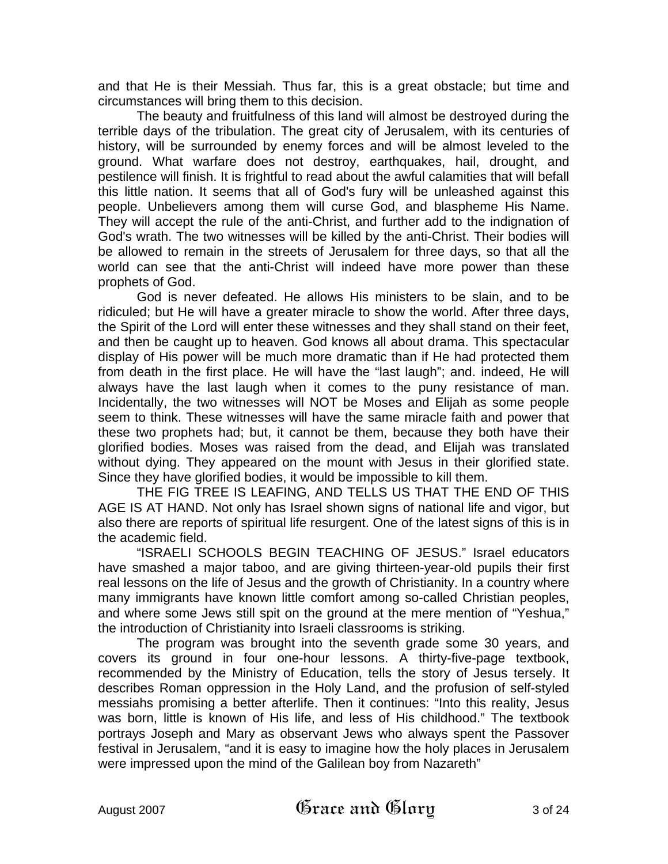and that He is their Messiah. Thus far, this is a great obstacle; but time and circumstances will bring them to this decision.

The beauty and fruitfulness of this land will almost be destroyed during the terrible days of the tribulation. The great city of Jerusalem, with its centuries of history, will be surrounded by enemy forces and will be almost leveled to the ground. What warfare does not destroy, earthquakes, hail, drought, and pestilence will finish. It is frightful to read about the awful calamities that will befall this little nation. It seems that all of God's fury will be unleashed against this people. Unbelievers among them will curse God, and blaspheme His Name. They will accept the rule of the anti-Christ, and further add to the indignation of God's wrath. The two witnesses will be killed by the anti-Christ. Their bodies will be allowed to remain in the streets of Jerusalem for three days, so that all the world can see that the anti-Christ will indeed have more power than these prophets of God.

God is never defeated. He allows His ministers to be slain, and to be ridiculed; but He will have a greater miracle to show the world. After three days, the Spirit of the Lord will enter these witnesses and they shall stand on their feet, and then be caught up to heaven. God knows all about drama. This spectacular display of His power will be much more dramatic than if He had protected them from death in the first place. He will have the "last laugh"; and. indeed, He will always have the last laugh when it comes to the puny resistance of man. Incidentally, the two witnesses will NOT be Moses and Elijah as some people seem to think. These witnesses will have the same miracle faith and power that these two prophets had; but, it cannot be them, because they both have their glorified bodies. Moses was raised from the dead, and Elijah was translated without dying. They appeared on the mount with Jesus in their glorified state. Since they have glorified bodies, it would be impossible to kill them.

THE FIG TREE IS LEAFING, AND TELLS US THAT THE END OF THIS AGE IS AT HAND. Not only has Israel shown signs of national life and vigor, but also there are reports of spiritual life resurgent. One of the latest signs of this is in the academic field.

"ISRAELI SCHOOLS BEGIN TEACHING OF JESUS." Israel educators have smashed a major taboo, and are giving thirteen-year-old pupils their first real lessons on the life of Jesus and the growth of Christianity. In a country where many immigrants have known little comfort among so-called Christian peoples, and where some Jews still spit on the ground at the mere mention of "Yeshua," the introduction of Christianity into Israeli classrooms is striking.

The program was brought into the seventh grade some 30 years, and covers its ground in four one-hour lessons. A thirty-five-page textbook, recommended by the Ministry of Education, tells the story of Jesus tersely. It describes Roman oppression in the Holy Land, and the profusion of self-styled messiahs promising a better afterlife. Then it continues: "Into this reality, Jesus was born, little is known of His life, and less of His childhood." The textbook portrays Joseph and Mary as observant Jews who always spent the Passover festival in Jerusalem, "and it is easy to imagine how the holy places in Jerusalem were impressed upon the mind of the Galilean boy from Nazareth"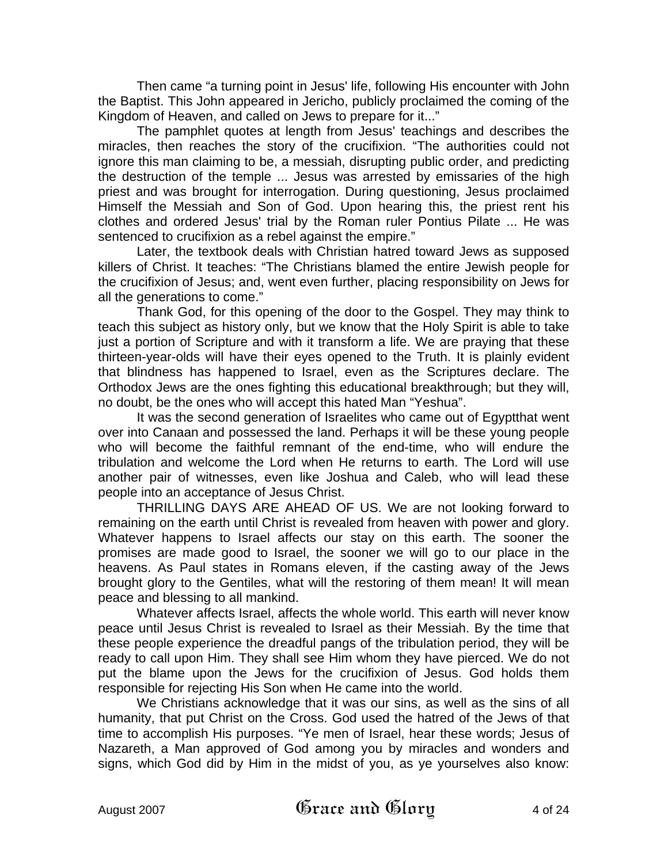Then came "a turning point in Jesus' life, following His encounter with John the Baptist. This John appeared in Jericho, publicly proclaimed the coming of the Kingdom of Heaven, and called on Jews to prepare for it..."

The pamphlet quotes at length from Jesus' teachings and describes the miracles, then reaches the story of the crucifixion. "The authorities could not ignore this man claiming to be, a messiah, disrupting public order, and predicting the destruction of the temple ... Jesus was arrested by emissaries of the high priest and was brought for interrogation. During questioning, Jesus proclaimed Himself the Messiah and Son of God. Upon hearing this, the priest rent his clothes and ordered Jesus' trial by the Roman ruler Pontius Pilate ... He was sentenced to crucifixion as a rebel against the empire."

Later, the textbook deals with Christian hatred toward Jews as supposed killers of Christ. It teaches: "The Christians blamed the entire Jewish people for the crucifixion of Jesus; and, went even further, placing responsibility on Jews for all the generations to come."

Thank God, for this opening of the door to the Gospel. They may think to teach this subject as history only, but we know that the Holy Spirit is able to take just a portion of Scripture and with it transform a life. We are praying that these thirteen-year-olds will have their eyes opened to the Truth. It is plainly evident that blindness has happened to Israel, even as the Scriptures declare. The Orthodox Jews are the ones fighting this educational breakthrough; but they will, no doubt, be the ones who will accept this hated Man "Yeshua".

It was the second generation of Israelites who came out of Egyptthat went over into Canaan and possessed the land. Perhaps it will be these young people who will become the faithful remnant of the end-time, who will endure the tribulation and welcome the Lord when He returns to earth. The Lord will use another pair of witnesses, even like Joshua and Caleb, who will lead these people into an acceptance of Jesus Christ.

THRILLING DAYS ARE AHEAD OF US. We are not looking forward to remaining on the earth until Christ is revealed from heaven with power and glory. Whatever happens to Israel affects our stay on this earth. The sooner the promises are made good to Israel, the sooner we will go to our place in the heavens. As Paul states in Romans eleven, if the casting away of the Jews brought glory to the Gentiles, what will the restoring of them mean! It will mean peace and blessing to all mankind.

Whatever affects Israel, affects the whole world. This earth will never know peace until Jesus Christ is revealed to Israel as their Messiah. By the time that these people experience the dreadful pangs of the tribulation period, they will be ready to call upon Him. They shall see Him whom they have pierced. We do not put the blame upon the Jews for the crucifixion of Jesus. God holds them responsible for rejecting His Son when He came into the world.

We Christians acknowledge that it was our sins, as well as the sins of all humanity, that put Christ on the Cross. God used the hatred of the Jews of that time to accomplish His purposes. "Ye men of Israel, hear these words; Jesus of Nazareth, a Man approved of God among you by miracles and wonders and signs, which God did by Him in the midst of you, as ye yourselves also know: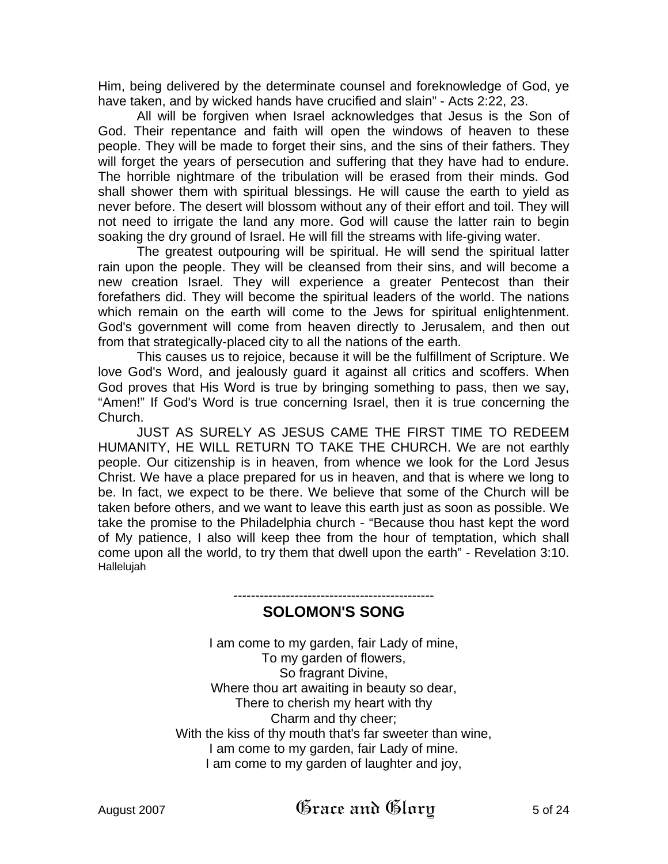Him, being delivered by the determinate counsel and foreknowledge of God, ye have taken, and by wicked hands have crucified and slain" - Acts 2:22, 23.

All will be forgiven when Israel acknowledges that Jesus is the Son of God. Their repentance and faith will open the windows of heaven to these people. They will be made to forget their sins, and the sins of their fathers. They will forget the years of persecution and suffering that they have had to endure. The horrible nightmare of the tribulation will be erased from their minds. God shall shower them with spiritual blessings. He will cause the earth to yield as never before. The desert will blossom without any of their effort and toil. They will not need to irrigate the land any more. God will cause the latter rain to begin soaking the dry ground of Israel. He will fill the streams with life-giving water.

The greatest outpouring will be spiritual. He will send the spiritual latter rain upon the people. They will be cleansed from their sins, and will become a new creation Israel. They will experience a greater Pentecost than their forefathers did. They will become the spiritual leaders of the world. The nations which remain on the earth will come to the Jews for spiritual enlightenment. God's government will come from heaven directly to Jerusalem, and then out from that strategically-placed city to all the nations of the earth.

This causes us to rejoice, because it will be the fulfillment of Scripture. We love God's Word, and jealously guard it against all critics and scoffers. When God proves that His Word is true by bringing something to pass, then we say, "Amen!" If God's Word is true concerning Israel, then it is true concerning the Church.

JUST AS SURELY AS JESUS CAME THE FIRST TIME TO REDEEM HUMANITY, HE WILL RETURN TO TAKE THE CHURCH. We are not earthly people. Our citizenship is in heaven, from whence we look for the Lord Jesus Christ. We have a place prepared for us in heaven, and that is where we long to be. In fact, we expect to be there. We believe that some of the Church will be taken before others, and we want to leave this earth just as soon as possible. We take the promise to the Philadelphia church - "Because thou hast kept the word of My patience, I also will keep thee from the hour of temptation, which shall come upon all the world, to try them that dwell upon the earth" - Revelation 3:10. Hallelujah

## ---------------------------------------------- **SOLOMON'S SONG**

I am come to my garden, fair Lady of mine, To my garden of flowers, So fragrant Divine, Where thou art awaiting in beauty so dear, There to cherish my heart with thy Charm and thy cheer; With the kiss of thy mouth that's far sweeter than wine, I am come to my garden, fair Lady of mine. I am come to my garden of laughter and joy,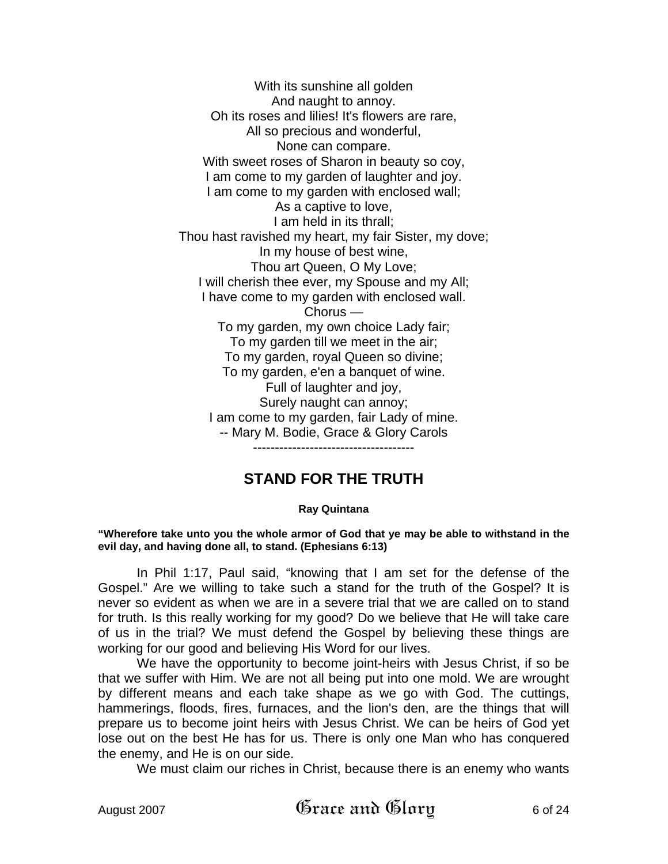With its sunshine all golden And naught to annoy. Oh its roses and lilies! It's flowers are rare, All so precious and wonderful, None can compare. With sweet roses of Sharon in beauty so coy, I am come to my garden of laughter and joy. I am come to my garden with enclosed wall; As a captive to love, I am held in its thrall; Thou hast ravished my heart, my fair Sister, my dove; In my house of best wine, Thou art Queen, O My Love; I will cherish thee ever, my Spouse and my All; I have come to my garden with enclosed wall. Chorus — To my garden, my own choice Lady fair; To my garden till we meet in the air; To my garden, royal Queen so divine; To my garden, e'en a banquet of wine. Full of laughter and joy, Surely naught can annoy; I am come to my garden, fair Lady of mine. -- Mary M. Bodie, Grace & Glory Carols

-------------------------------------

## **STAND FOR THE TRUTH**

#### **Ray Quintana**

**"Wherefore take unto you the whole armor of God that ye may be able to withstand in the evil day, and having done all, to stand. (Ephesians 6:13)** 

In Phil 1:17, Paul said, "knowing that I am set for the defense of the Gospel." Are we willing to take such a stand for the truth of the Gospel? It is never so evident as when we are in a severe trial that we are called on to stand for truth. Is this really working for my good? Do we believe that He will take care of us in the trial? We must defend the Gospel by believing these things are working for our good and believing His Word for our lives.

We have the opportunity to become joint-heirs with Jesus Christ, if so be that we suffer with Him. We are not all being put into one mold. We are wrought by different means and each take shape as we go with God. The cuttings, hammerings, floods, fires, furnaces, and the lion's den, are the things that will prepare us to become joint heirs with Jesus Christ. We can be heirs of God yet lose out on the best He has for us. There is only one Man who has conquered the enemy, and He is on our side.

We must claim our riches in Christ, because there is an enemy who wants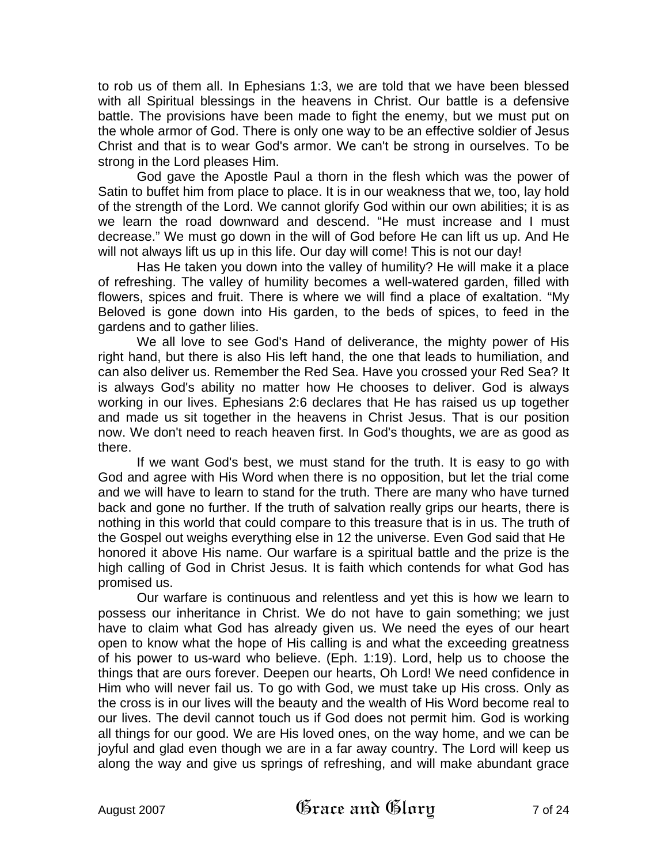to rob us of them all. In Ephesians 1:3, we are told that we have been blessed with all Spiritual blessings in the heavens in Christ. Our battle is a defensive battle. The provisions have been made to fight the enemy, but we must put on the whole armor of God. There is only one way to be an effective soldier of Jesus Christ and that is to wear God's armor. We can't be strong in ourselves. To be strong in the Lord pleases Him.

God gave the Apostle Paul a thorn in the flesh which was the power of Satin to buffet him from place to place. It is in our weakness that we, too, lay hold of the strength of the Lord. We cannot glorify God within our own abilities; it is as we learn the road downward and descend. "He must increase and I must decrease." We must go down in the will of God before He can lift us up. And He will not always lift us up in this life. Our day will come! This is not our day!

Has He taken you down into the valley of humility? He will make it a place of refreshing. The valley of humility becomes a well-watered garden, filled with flowers, spices and fruit. There is where we will find a place of exaltation. "My Beloved is gone down into His garden, to the beds of spices, to feed in the gardens and to gather lilies.

We all love to see God's Hand of deliverance, the mighty power of His right hand, but there is also His left hand, the one that leads to humiliation, and can also deliver us. Remember the Red Sea. Have you crossed your Red Sea? It is always God's ability no matter how He chooses to deliver. God is always working in our lives. Ephesians 2:6 declares that He has raised us up together and made us sit together in the heavens in Christ Jesus. That is our position now. We don't need to reach heaven first. In God's thoughts, we are as good as there.

If we want God's best, we must stand for the truth. It is easy to go with God and agree with His Word when there is no opposition, but let the trial come and we will have to learn to stand for the truth. There are many who have turned back and gone no further. If the truth of salvation really grips our hearts, there is nothing in this world that could compare to this treasure that is in us. The truth of the Gospel out weighs everything else in 12 the universe. Even God said that He honored it above His name. Our warfare is a spiritual battle and the prize is the high calling of God in Christ Jesus. It is faith which contends for what God has promised us.

Our warfare is continuous and relentless and yet this is how we learn to possess our inheritance in Christ. We do not have to gain something; we just have to claim what God has already given us. We need the eyes of our heart open to know what the hope of His calling is and what the exceeding greatness of his power to us-ward who believe. (Eph. 1:19). Lord, help us to choose the things that are ours forever. Deepen our hearts, Oh Lord! We need confidence in Him who will never fail us. To go with God, we must take up His cross. Only as the cross is in our lives will the beauty and the wealth of His Word become real to our lives. The devil cannot touch us if God does not permit him. God is working all things for our good. We are His loved ones, on the way home, and we can be joyful and glad even though we are in a far away country. The Lord will keep us along the way and give us springs of refreshing, and will make abundant grace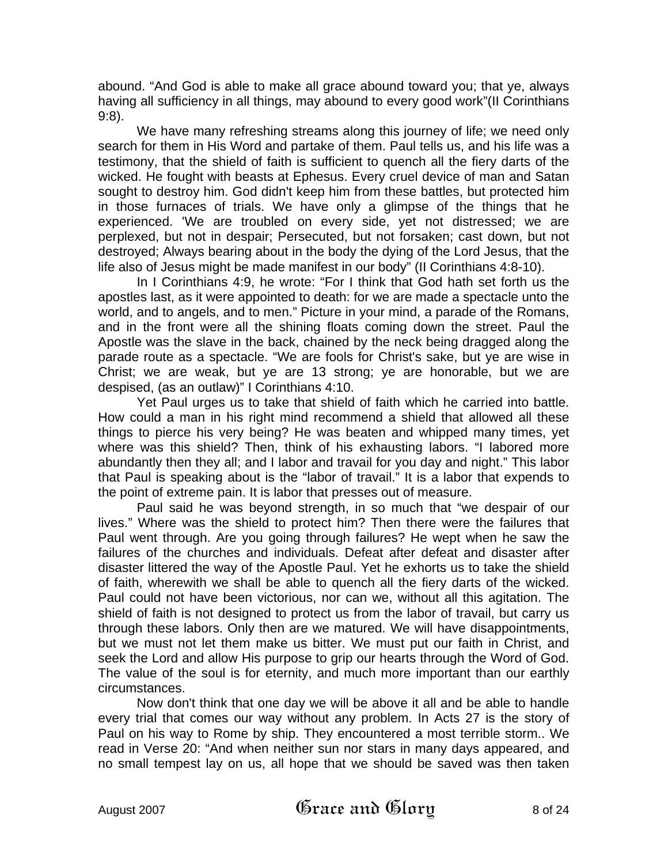abound. "And God is able to make all grace abound toward you; that ye, always having all sufficiency in all things, may abound to every good work"(II Corinthians 9:8).

We have many refreshing streams along this journey of life; we need only search for them in His Word and partake of them. Paul tells us, and his life was a testimony, that the shield of faith is sufficient to quench all the fiery darts of the wicked. He fought with beasts at Ephesus. Every cruel device of man and Satan sought to destroy him. God didn't keep him from these battles, but protected him in those furnaces of trials. We have only a glimpse of the things that he experienced. 'We are troubled on every side, yet not distressed; we are perplexed, but not in despair; Persecuted, but not forsaken; cast down, but not destroyed; Always bearing about in the body the dying of the Lord Jesus, that the life also of Jesus might be made manifest in our body" (II Corinthians 4:8-10).

In I Corinthians 4:9, he wrote: "For I think that God hath set forth us the apostles last, as it were appointed to death: for we are made a spectacle unto the world, and to angels, and to men." Picture in your mind, a parade of the Romans, and in the front were all the shining floats coming down the street. Paul the Apostle was the slave in the back, chained by the neck being dragged along the parade route as a spectacle. "We are fools for Christ's sake, but ye are wise in Christ; we are weak, but ye are 13 strong; ye are honorable, but we are despised, (as an outlaw)" I Corinthians 4:10.

Yet Paul urges us to take that shield of faith which he carried into battle. How could a man in his right mind recommend a shield that allowed all these things to pierce his very being? He was beaten and whipped many times, yet where was this shield? Then, think of his exhausting labors. "I labored more abundantly then they all; and I labor and travail for you day and night." This labor that Paul is speaking about is the "labor of travail." It is a labor that expends to the point of extreme pain. It is labor that presses out of measure.

Paul said he was beyond strength, in so much that "we despair of our lives." Where was the shield to protect him? Then there were the failures that Paul went through. Are you going through failures? He wept when he saw the failures of the churches and individuals. Defeat after defeat and disaster after disaster littered the way of the Apostle Paul. Yet he exhorts us to take the shield of faith, wherewith we shall be able to quench all the fiery darts of the wicked. Paul could not have been victorious, nor can we, without all this agitation. The shield of faith is not designed to protect us from the labor of travail, but carry us through these labors. Only then are we matured. We will have disappointments, but we must not let them make us bitter. We must put our faith in Christ, and seek the Lord and allow His purpose to grip our hearts through the Word of God. The value of the soul is for eternity, and much more important than our earthly circumstances.

Now don't think that one day we will be above it all and be able to handle every trial that comes our way without any problem. In Acts 27 is the story of Paul on his way to Rome by ship. They encountered a most terrible storm.. We read in Verse 20: "And when neither sun nor stars in many days appeared, and no small tempest lay on us, all hope that we should be saved was then taken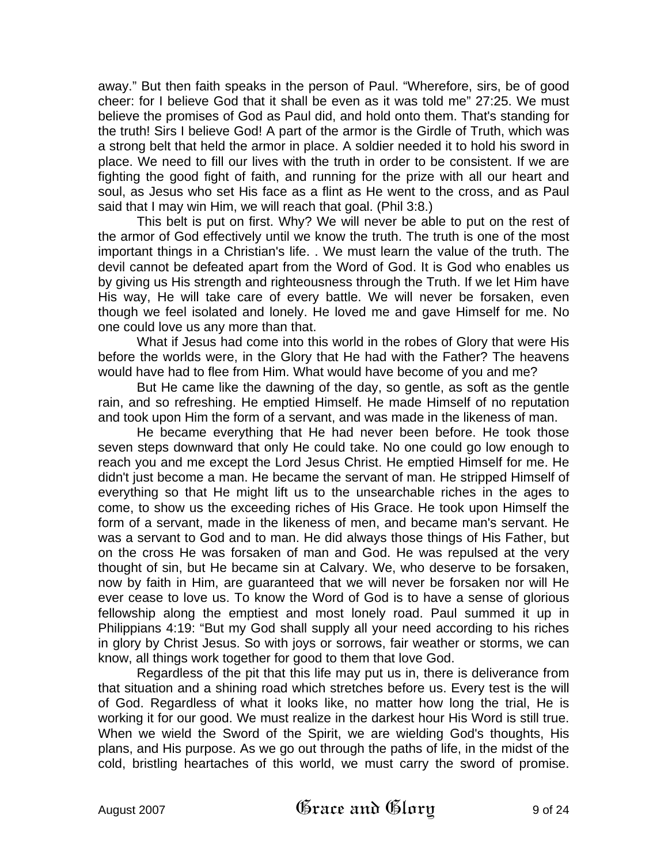away." But then faith speaks in the person of Paul. "Wherefore, sirs, be of good cheer: for I believe God that it shall be even as it was told me" 27:25. We must believe the promises of God as Paul did, and hold onto them. That's standing for the truth! Sirs I believe God! A part of the armor is the Girdle of Truth, which was a strong belt that held the armor in place. A soldier needed it to hold his sword in place. We need to fill our lives with the truth in order to be consistent. If we are fighting the good fight of faith, and running for the prize with all our heart and soul, as Jesus who set His face as a flint as He went to the cross, and as Paul said that I may win Him, we will reach that goal. (Phil 3:8.)

This belt is put on first. Why? We will never be able to put on the rest of the armor of God effectively until we know the truth. The truth is one of the most important things in a Christian's life. . We must learn the value of the truth. The devil cannot be defeated apart from the Word of God. It is God who enables us by giving us His strength and righteousness through the Truth. If we let Him have His way, He will take care of every battle. We will never be forsaken, even though we feel isolated and lonely. He loved me and gave Himself for me. No one could love us any more than that.

What if Jesus had come into this world in the robes of Glory that were His before the worlds were, in the Glory that He had with the Father? The heavens would have had to flee from Him. What would have become of you and me?

But He came like the dawning of the day, so gentle, as soft as the gentle rain, and so refreshing. He emptied Himself. He made Himself of no reputation and took upon Him the form of a servant, and was made in the likeness of man.

He became everything that He had never been before. He took those seven steps downward that only He could take. No one could go low enough to reach you and me except the Lord Jesus Christ. He emptied Himself for me. He didn't just become a man. He became the servant of man. He stripped Himself of everything so that He might lift us to the unsearchable riches in the ages to come, to show us the exceeding riches of His Grace. He took upon Himself the form of a servant, made in the likeness of men, and became man's servant. He was a servant to God and to man. He did always those things of His Father, but on the cross He was forsaken of man and God. He was repulsed at the very thought of sin, but He became sin at Calvary. We, who deserve to be forsaken, now by faith in Him, are guaranteed that we will never be forsaken nor will He ever cease to love us. To know the Word of God is to have a sense of glorious fellowship along the emptiest and most lonely road. Paul summed it up in Philippians 4:19: "But my God shall supply all your need according to his riches in glory by Christ Jesus. So with joys or sorrows, fair weather or storms, we can know, all things work together for good to them that love God.

Regardless of the pit that this life may put us in, there is deliverance from that situation and a shining road which stretches before us. Every test is the will of God. Regardless of what it looks like, no matter how long the trial, He is working it for our good. We must realize in the darkest hour His Word is still true. When we wield the Sword of the Spirit, we are wielding God's thoughts, His plans, and His purpose. As we go out through the paths of life, in the midst of the cold, bristling heartaches of this world, we must carry the sword of promise.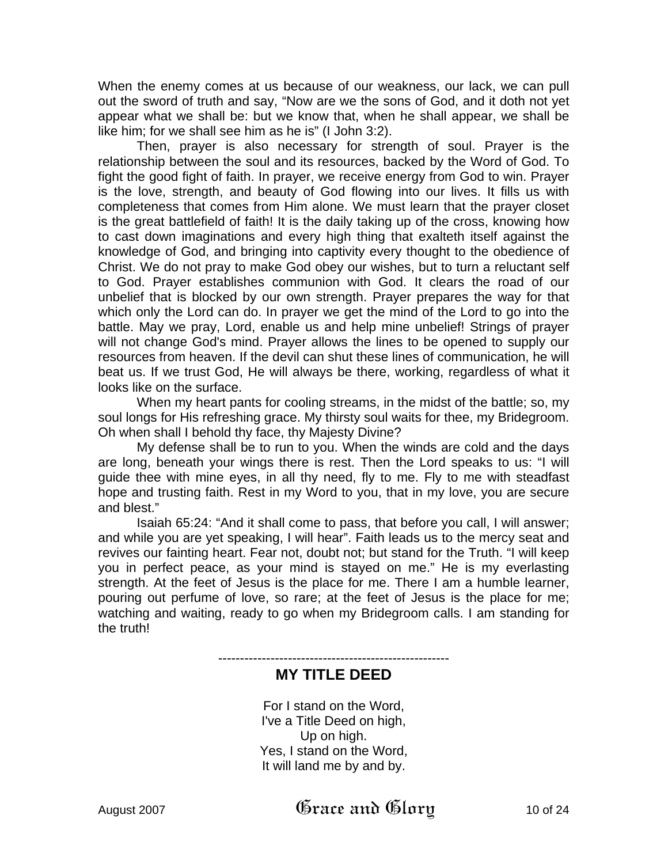When the enemy comes at us because of our weakness, our lack, we can pull out the sword of truth and say, "Now are we the sons of God, and it doth not yet appear what we shall be: but we know that, when he shall appear, we shall be like him; for we shall see him as he is" (I John 3:2).

Then, prayer is also necessary for strength of soul. Prayer is the relationship between the soul and its resources, backed by the Word of God. To fight the good fight of faith. In prayer, we receive energy from God to win. Prayer is the love, strength, and beauty of God flowing into our lives. It fills us with completeness that comes from Him alone. We must learn that the prayer closet is the great battlefield of faith! It is the daily taking up of the cross, knowing how to cast down imaginations and every high thing that exalteth itself against the knowledge of God, and bringing into captivity every thought to the obedience of Christ. We do not pray to make God obey our wishes, but to turn a reluctant self to God. Prayer establishes communion with God. It clears the road of our unbelief that is blocked by our own strength. Prayer prepares the way for that which only the Lord can do. In prayer we get the mind of the Lord to go into the battle. May we pray, Lord, enable us and help mine unbelief! Strings of prayer will not change God's mind. Prayer allows the lines to be opened to supply our resources from heaven. If the devil can shut these lines of communication, he will beat us. If we trust God, He will always be there, working, regardless of what it looks like on the surface.

When my heart pants for cooling streams, in the midst of the battle; so, my soul longs for His refreshing grace. My thirsty soul waits for thee, my Bridegroom. Oh when shall I behold thy face, thy Majesty Divine?

My defense shall be to run to you. When the winds are cold and the days are long, beneath your wings there is rest. Then the Lord speaks to us: "I will guide thee with mine eyes, in all thy need, fly to me. Fly to me with steadfast hope and trusting faith. Rest in my Word to you, that in my love, you are secure and blest."

Isaiah 65:24: "And it shall come to pass, that before you call, I will answer; and while you are yet speaking, I will hear". Faith leads us to the mercy seat and revives our fainting heart. Fear not, doubt not; but stand for the Truth. "I will keep you in perfect peace, as your mind is stayed on me." He is my everlasting strength. At the feet of Jesus is the place for me. There I am a humble learner, pouring out perfume of love, so rare; at the feet of Jesus is the place for me; watching and waiting, ready to go when my Bridegroom calls. I am standing for the truth!

-----------------------------------------------------

## **MY TITLE DEED**

For I stand on the Word, I've a Title Deed on high, Up on high. Yes, I stand on the Word, It will land me by and by.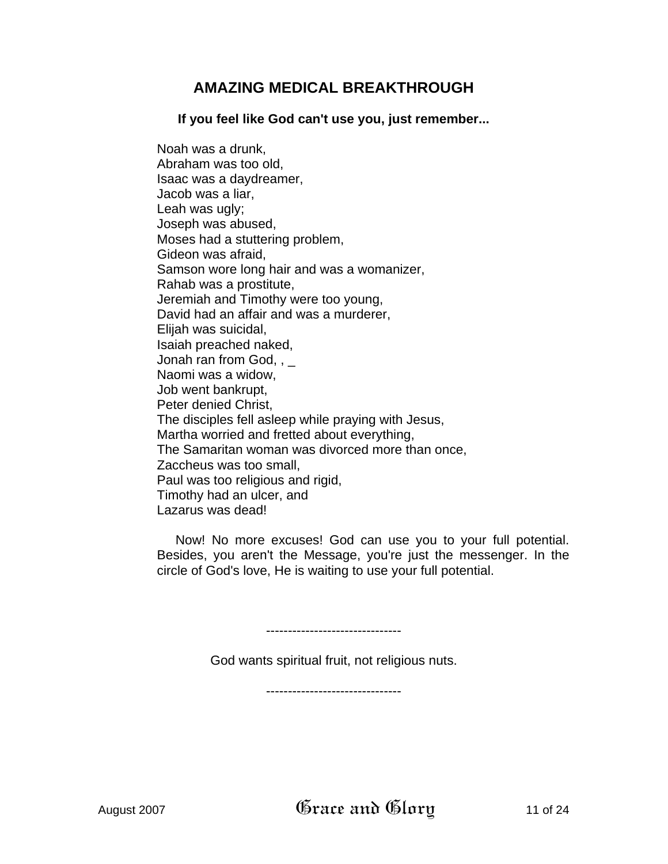# **AMAZING MEDICAL BREAKTHROUGH**

**If you feel like God can't use you, just remember...** 

Noah was a drunk, Abraham was too old, Isaac was a daydreamer, Jacob was a liar, Leah was ugly; Joseph was abused, Moses had a stuttering problem, Gideon was afraid, Samson wore long hair and was a womanizer, Rahab was a prostitute, Jeremiah and Timothy were too young, David had an affair and was a murderer, Elijah was suicidal, Isaiah preached naked, Jonah ran from God,  $, \_$ Naomi was a widow, Job went bankrupt, Peter denied Christ, The disciples fell asleep while praying with Jesus, Martha worried and fretted about everything, The Samaritan woman was divorced more than once, Zaccheus was too small, Paul was too religious and rigid, Timothy had an ulcer, and Lazarus was dead!

Now! No more excuses! God can use you to your full potential. Besides, you aren't the Message, you're just the messenger. In the circle of God's love, He is waiting to use your full potential.

-------------------------------

God wants spiritual fruit, not religious nuts.

-------------------------------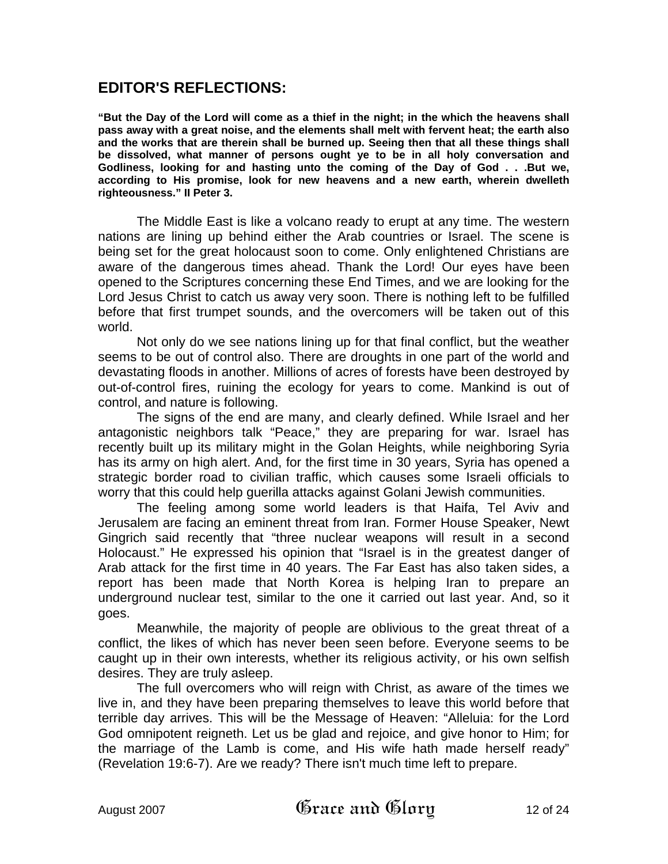## **EDITOR'S REFLECTIONS:**

**"But the Day of the Lord will come as a thief in the night; in the which the heavens shall pass away with a great noise, and the elements shall melt with fervent heat; the earth also and the works that are therein shall be burned up. Seeing then that all these things shall be dissolved, what manner of persons ought ye to be in all holy conversation and Godliness, looking for and hasting unto the coming of the Day of God . . .But we, according to His promise, look for new heavens and a new earth, wherein dwelleth righteousness." II Peter 3.**

The Middle East is like a volcano ready to erupt at any time. The western nations are lining up behind either the Arab countries or Israel. The scene is being set for the great holocaust soon to come. Only enlightened Christians are aware of the dangerous times ahead. Thank the Lord! Our eyes have been opened to the Scriptures concerning these End Times, and we are looking for the Lord Jesus Christ to catch us away very soon. There is nothing left to be fulfilled before that first trumpet sounds, and the overcomers will be taken out of this world.

Not only do we see nations lining up for that final conflict, but the weather seems to be out of control also. There are droughts in one part of the world and devastating floods in another. Millions of acres of forests have been destroyed by out-of-control fires, ruining the ecology for years to come. Mankind is out of control, and nature is following.

The signs of the end are many, and clearly defined. While Israel and her antagonistic neighbors talk "Peace," they are preparing for war. Israel has recently built up its military might in the Golan Heights, while neighboring Syria has its army on high alert. And, for the first time in 30 years, Syria has opened a strategic border road to civilian traffic, which causes some Israeli officials to worry that this could help guerilla attacks against Golani Jewish communities.

The feeling among some world leaders is that Haifa, Tel Aviv and Jerusalem are facing an eminent threat from Iran. Former House Speaker, Newt Gingrich said recently that "three nuclear weapons will result in a second Holocaust." He expressed his opinion that "Israel is in the greatest danger of Arab attack for the first time in 40 years. The Far East has also taken sides, a report has been made that North Korea is helping Iran to prepare an underground nuclear test, similar to the one it carried out last year. And, so it goes.

Meanwhile, the majority of people are oblivious to the great threat of a conflict, the likes of which has never been seen before. Everyone seems to be caught up in their own interests, whether its religious activity, or his own selfish desires. They are truly asleep.

The full overcomers who will reign with Christ, as aware of the times we live in, and they have been preparing themselves to leave this world before that terrible day arrives. This will be the Message of Heaven: "Alleluia: for the Lord God omnipotent reigneth. Let us be glad and rejoice, and give honor to Him; for the marriage of the Lamb is come, and His wife hath made herself ready" (Revelation 19:6-7). Are we ready? There isn't much time left to prepare.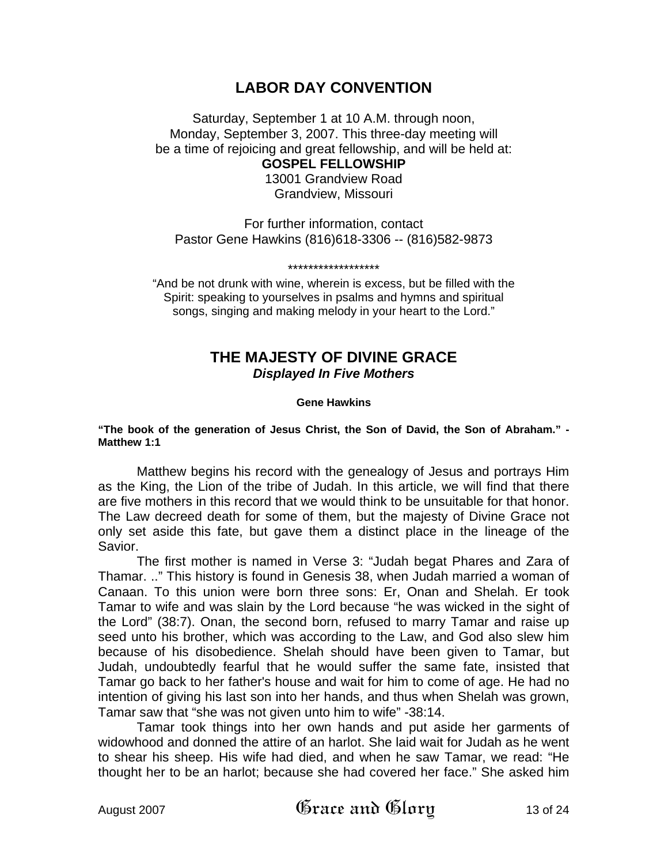## **LABOR DAY CONVENTION**

Saturday, September 1 at 10 A.M. through noon, Monday, September 3, 2007. This three-day meeting will be a time of rejoicing and great fellowship, and will be held at:

**GOSPEL FELLOWSHIP**  13001 Grandview Road Grandview, Missouri

For further information, contact Pastor Gene Hawkins (816)618-3306 -- (816)582-9873

\*\*\*\*\*\*\*\*\*\*\*\*\*\*\*\*\*\*

"And be not drunk with wine, wherein is excess, but be filled with the Spirit: speaking to yourselves in psalms and hymns and spiritual songs, singing and making melody in your heart to the Lord."

## **THE MAJESTY OF DIVINE GRACE**  *Displayed In Five Mothers*

#### **Gene Hawkins**

#### **"The book of the generation of Jesus Christ, the Son of David, the Son of Abraham." - Matthew 1:1**

Matthew begins his record with the genealogy of Jesus and portrays Him as the King, the Lion of the tribe of Judah. In this article, we will find that there are five mothers in this record that we would think to be unsuitable for that honor. The Law decreed death for some of them, but the majesty of Divine Grace not only set aside this fate, but gave them a distinct place in the lineage of the Savior.

The first mother is named in Verse 3: "Judah begat Phares and Zara of Thamar. .." This history is found in Genesis 38, when Judah married a woman of Canaan. To this union were born three sons: Er, Onan and Shelah. Er took Tamar to wife and was slain by the Lord because "he was wicked in the sight of the Lord" (38:7). Onan, the second born, refused to marry Tamar and raise up seed unto his brother, which was according to the Law, and God also slew him because of his disobedience. Shelah should have been given to Tamar, but Judah, undoubtedly fearful that he would suffer the same fate, insisted that Tamar go back to her father's house and wait for him to come of age. He had no intention of giving his last son into her hands, and thus when Shelah was grown, Tamar saw that "she was not given unto him to wife" -38:14.

Tamar took things into her own hands and put aside her garments of widowhood and donned the attire of an harlot. She laid wait for Judah as he went to shear his sheep. His wife had died, and when he saw Tamar, we read: "He thought her to be an harlot; because she had covered her face." She asked him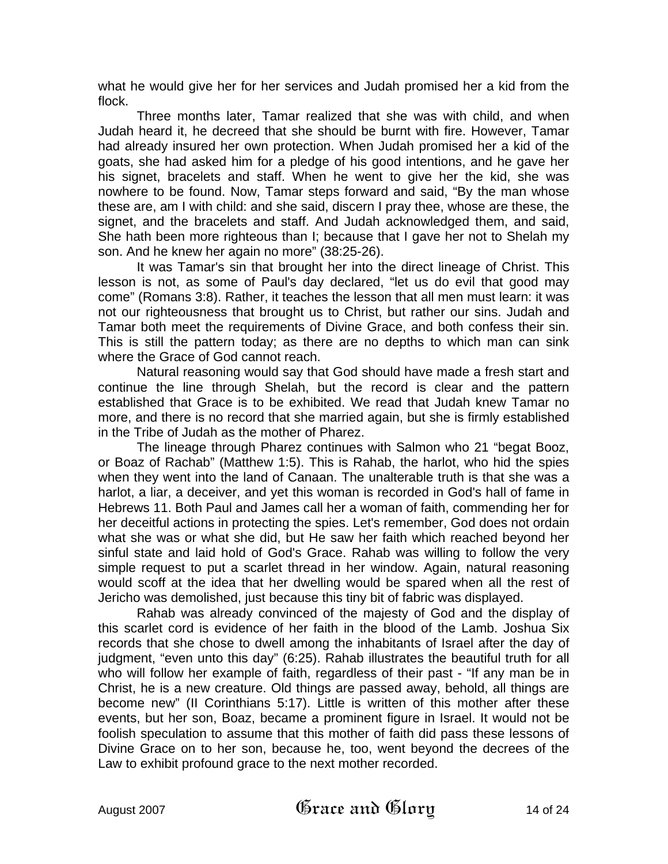what he would give her for her services and Judah promised her a kid from the flock.

Three months later, Tamar realized that she was with child, and when Judah heard it, he decreed that she should be burnt with fire. However, Tamar had already insured her own protection. When Judah promised her a kid of the goats, she had asked him for a pledge of his good intentions, and he gave her his signet, bracelets and staff. When he went to give her the kid, she was nowhere to be found. Now, Tamar steps forward and said, "By the man whose these are, am I with child: and she said, discern I pray thee, whose are these, the signet, and the bracelets and staff. And Judah acknowledged them, and said, She hath been more righteous than I; because that I gave her not to Shelah my son. And he knew her again no more" (38:25-26).

It was Tamar's sin that brought her into the direct lineage of Christ. This lesson is not, as some of Paul's day declared, "let us do evil that good may come" (Romans 3:8). Rather, it teaches the lesson that all men must learn: it was not our righteousness that brought us to Christ, but rather our sins. Judah and Tamar both meet the requirements of Divine Grace, and both confess their sin. This is still the pattern today; as there are no depths to which man can sink where the Grace of God cannot reach.

Natural reasoning would say that God should have made a fresh start and continue the line through Shelah, but the record is clear and the pattern established that Grace is to be exhibited. We read that Judah knew Tamar no more, and there is no record that she married again, but she is firmly established in the Tribe of Judah as the mother of Pharez.

The lineage through Pharez continues with Salmon who 21 "begat Booz, or Boaz of Rachab" (Matthew 1:5). This is Rahab, the harlot, who hid the spies when they went into the land of Canaan. The unalterable truth is that she was a harlot, a liar, a deceiver, and yet this woman is recorded in God's hall of fame in Hebrews 11. Both Paul and James call her a woman of faith, commending her for her deceitful actions in protecting the spies. Let's remember, God does not ordain what she was or what she did, but He saw her faith which reached beyond her sinful state and laid hold of God's Grace. Rahab was willing to follow the very simple request to put a scarlet thread in her window. Again, natural reasoning would scoff at the idea that her dwelling would be spared when all the rest of Jericho was demolished, just because this tiny bit of fabric was displayed.

Rahab was already convinced of the majesty of God and the display of this scarlet cord is evidence of her faith in the blood of the Lamb. Joshua Six records that she chose to dwell among the inhabitants of Israel after the day of judgment, "even unto this day" (6:25). Rahab illustrates the beautiful truth for all who will follow her example of faith, regardless of their past - "If any man be in Christ, he is a new creature. Old things are passed away, behold, all things are become new" (II Corinthians 5:17). Little is written of this mother after these events, but her son, Boaz, became a prominent figure in Israel. It would not be foolish speculation to assume that this mother of faith did pass these lessons of Divine Grace on to her son, because he, too, went beyond the decrees of the Law to exhibit profound grace to the next mother recorded.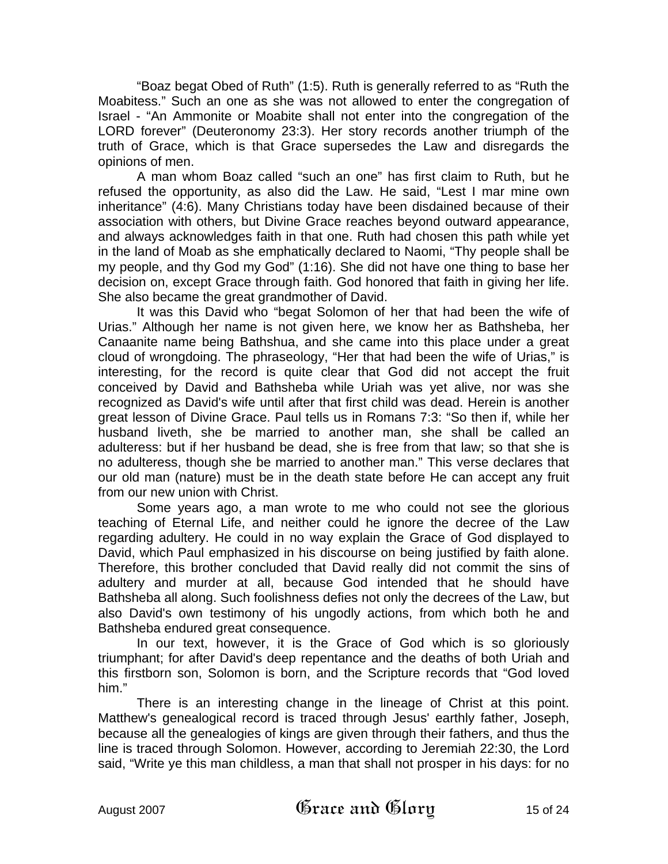"Boaz begat Obed of Ruth" (1:5). Ruth is generally referred to as "Ruth the Moabitess." Such an one as she was not allowed to enter the congregation of Israel - "An Ammonite or Moabite shall not enter into the congregation of the LORD forever" (Deuteronomy 23:3). Her story records another triumph of the truth of Grace, which is that Grace supersedes the Law and disregards the opinions of men.

A man whom Boaz called "such an one" has first claim to Ruth, but he refused the opportunity, as also did the Law. He said, "Lest I mar mine own inheritance" (4:6). Many Christians today have been disdained because of their association with others, but Divine Grace reaches beyond outward appearance, and always acknowledges faith in that one. Ruth had chosen this path while yet in the land of Moab as she emphatically declared to Naomi, "Thy people shall be my people, and thy God my God" (1:16). She did not have one thing to base her decision on, except Grace through faith. God honored that faith in giving her life. She also became the great grandmother of David.

It was this David who "begat Solomon of her that had been the wife of Urias." Although her name is not given here, we know her as Bathsheba, her Canaanite name being Bathshua, and she came into this place under a great cloud of wrongdoing. The phraseology, "Her that had been the wife of Urias," is interesting, for the record is quite clear that God did not accept the fruit conceived by David and Bathsheba while Uriah was yet alive, nor was she recognized as David's wife until after that first child was dead. Herein is another great lesson of Divine Grace. Paul tells us in Romans 7:3: "So then if, while her husband liveth, she be married to another man, she shall be called an adulteress: but if her husband be dead, she is free from that law; so that she is no adulteress, though she be married to another man." This verse declares that our old man (nature) must be in the death state before He can accept any fruit from our new union with Christ.

Some years ago, a man wrote to me who could not see the glorious teaching of Eternal Life, and neither could he ignore the decree of the Law regarding adultery. He could in no way explain the Grace of God displayed to David, which Paul emphasized in his discourse on being justified by faith alone. Therefore, this brother concluded that David really did not commit the sins of adultery and murder at all, because God intended that he should have Bathsheba all along. Such foolishness defies not only the decrees of the Law, but also David's own testimony of his ungodly actions, from which both he and Bathsheba endured great consequence.

In our text, however, it is the Grace of God which is so gloriously triumphant; for after David's deep repentance and the deaths of both Uriah and this firstborn son, Solomon is born, and the Scripture records that "God loved him."

There is an interesting change in the lineage of Christ at this point. Matthew's genealogical record is traced through Jesus' earthly father, Joseph, because all the genealogies of kings are given through their fathers, and thus the line is traced through Solomon. However, according to Jeremiah 22:30, the Lord said, "Write ye this man childless, a man that shall not prosper in his days: for no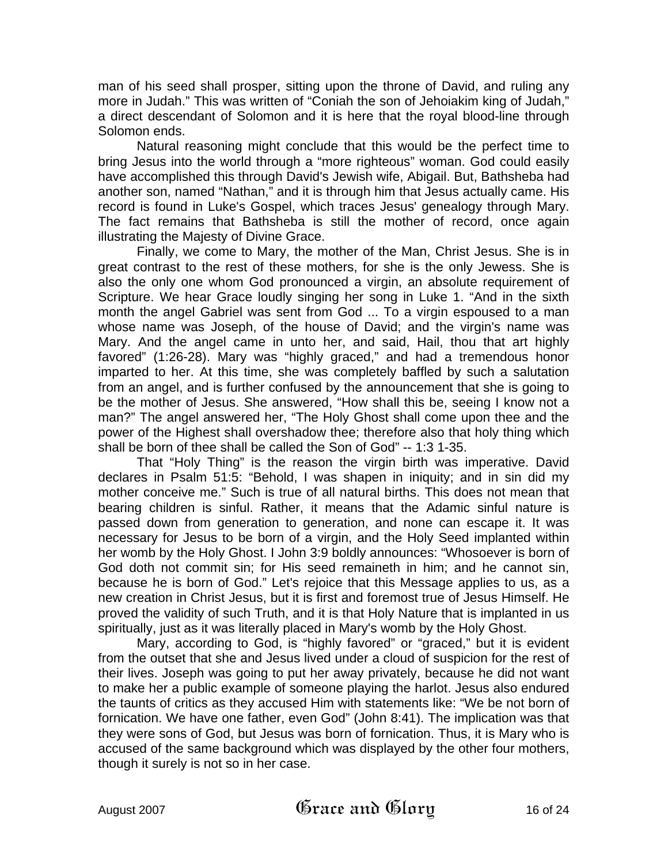man of his seed shall prosper, sitting upon the throne of David, and ruling any more in Judah." This was written of "Coniah the son of Jehoiakim king of Judah," a direct descendant of Solomon and it is here that the royal blood-line through Solomon ends.

Natural reasoning might conclude that this would be the perfect time to bring Jesus into the world through a "more righteous" woman. God could easily have accomplished this through David's Jewish wife, Abigail. But, Bathsheba had another son, named "Nathan," and it is through him that Jesus actually came. His record is found in Luke's Gospel, which traces Jesus' genealogy through Mary. The fact remains that Bathsheba is still the mother of record, once again illustrating the Majesty of Divine Grace.

Finally, we come to Mary, the mother of the Man, Christ Jesus. She is in great contrast to the rest of these mothers, for she is the only Jewess. She is also the only one whom God pronounced a virgin, an absolute requirement of Scripture. We hear Grace loudly singing her song in Luke 1. "And in the sixth month the angel Gabriel was sent from God ... To a virgin espoused to a man whose name was Joseph, of the house of David; and the virgin's name was Mary. And the angel came in unto her, and said, Hail, thou that art highly favored" (1:26-28). Mary was "highly graced," and had a tremendous honor imparted to her. At this time, she was completely baffled by such a salutation from an angel, and is further confused by the announcement that she is going to be the mother of Jesus. She answered, "How shall this be, seeing I know not a man?" The angel answered her, "The Holy Ghost shall come upon thee and the power of the Highest shall overshadow thee; therefore also that holy thing which shall be born of thee shall be called the Son of God" -- 1:3 1-35.

That "Holy Thing" is the reason the virgin birth was imperative. David declares in Psalm 51:5: "Behold, I was shapen in iniquity; and in sin did my mother conceive me." Such is true of all natural births. This does not mean that bearing children is sinful. Rather, it means that the Adamic sinful nature is passed down from generation to generation, and none can escape it. It was necessary for Jesus to be born of a virgin, and the Holy Seed implanted within her womb by the Holy Ghost. I John 3:9 boldly announces: "Whosoever is born of God doth not commit sin; for His seed remaineth in him; and he cannot sin, because he is born of God." Let's rejoice that this Message applies to us, as a new creation in Christ Jesus, but it is first and foremost true of Jesus Himself. He proved the validity of such Truth, and it is that Holy Nature that is implanted in us spiritually, just as it was literally placed in Mary's womb by the Holy Ghost.

Mary, according to God, is "highly favored" or "graced," but it is evident from the outset that she and Jesus lived under a cloud of suspicion for the rest of their lives. Joseph was going to put her away privately, because he did not want to make her a public example of someone playing the harlot. Jesus also endured the taunts of critics as they accused Him with statements like: "We be not born of fornication. We have one father, even God" (John 8:41). The implication was that they were sons of God, but Jesus was born of fornication. Thus, it is Mary who is accused of the same background which was displayed by the other four mothers, though it surely is not so in her case.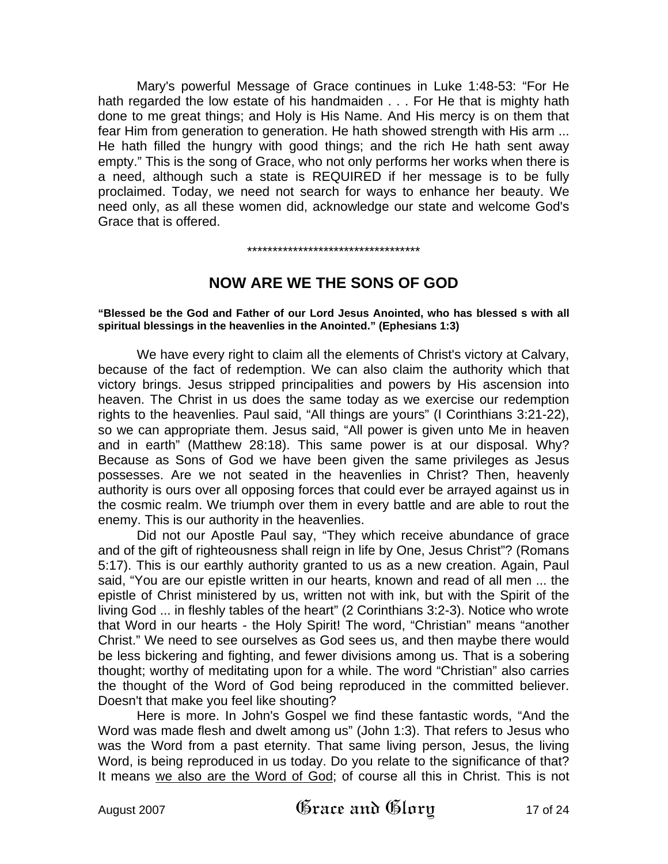Mary's powerful Message of Grace continues in Luke 1:48-53: "For He hath regarded the low estate of his handmaiden . . . For He that is mighty hath done to me great things; and Holy is His Name. And His mercy is on them that fear Him from generation to generation. He hath showed strength with His arm ... He hath filled the hungry with good things; and the rich He hath sent away empty." This is the song of Grace, who not only performs her works when there is a need, although such a state is REQUIRED if her message is to be fully proclaimed. Today, we need not search for ways to enhance her beauty. We need only, as all these women did, acknowledge our state and welcome God's Grace that is offered.

#### \*\*\*\*\*\*\*\*\*\*\*\*\*\*\*\*\*\*\*\*\*\*\*\*\*\*\*\*\*\*\*\*\*\*

## **NOW ARE WE THE SONS OF GOD**

**"Blessed be the God and Father of our Lord Jesus Anointed, who has blessed s with all spiritual blessings in the heavenlies in the Anointed." (Ephesians 1:3)** 

We have every right to claim all the elements of Christ's victory at Calvary, because of the fact of redemption. We can also claim the authority which that victory brings. Jesus stripped principalities and powers by His ascension into heaven. The Christ in us does the same today as we exercise our redemption rights to the heavenlies. Paul said, "All things are yours" (I Corinthians 3:21-22), so we can appropriate them. Jesus said, "All power is given unto Me in heaven and in earth" (Matthew 28:18). This same power is at our disposal. Why? Because as Sons of God we have been given the same privileges as Jesus possesses. Are we not seated in the heavenlies in Christ? Then, heavenly authority is ours over all opposing forces that could ever be arrayed against us in the cosmic realm. We triumph over them in every battle and are able to rout the enemy. This is our authority in the heavenlies.

Did not our Apostle Paul say, "They which receive abundance of grace and of the gift of righteousness shall reign in life by One, Jesus Christ"? (Romans 5:17). This is our earthly authority granted to us as a new creation. Again, Paul said, "You are our epistle written in our hearts, known and read of all men ... the epistle of Christ ministered by us, written not with ink, but with the Spirit of the living God ... in fleshly tables of the heart" (2 Corinthians 3:2-3). Notice who wrote that Word in our hearts - the Holy Spirit! The word, "Christian" means "another Christ." We need to see ourselves as God sees us, and then maybe there would be less bickering and fighting, and fewer divisions among us. That is a sobering thought; worthy of meditating upon for a while. The word "Christian" also carries the thought of the Word of God being reproduced in the committed believer. Doesn't that make you feel like shouting?

Here is more. In John's Gospel we find these fantastic words, "And the Word was made flesh and dwelt among us" (John 1:3). That refers to Jesus who was the Word from a past eternity. That same living person, Jesus, the living Word, is being reproduced in us today. Do you relate to the significance of that? It means we also are the Word of God; of course all this in Christ. This is not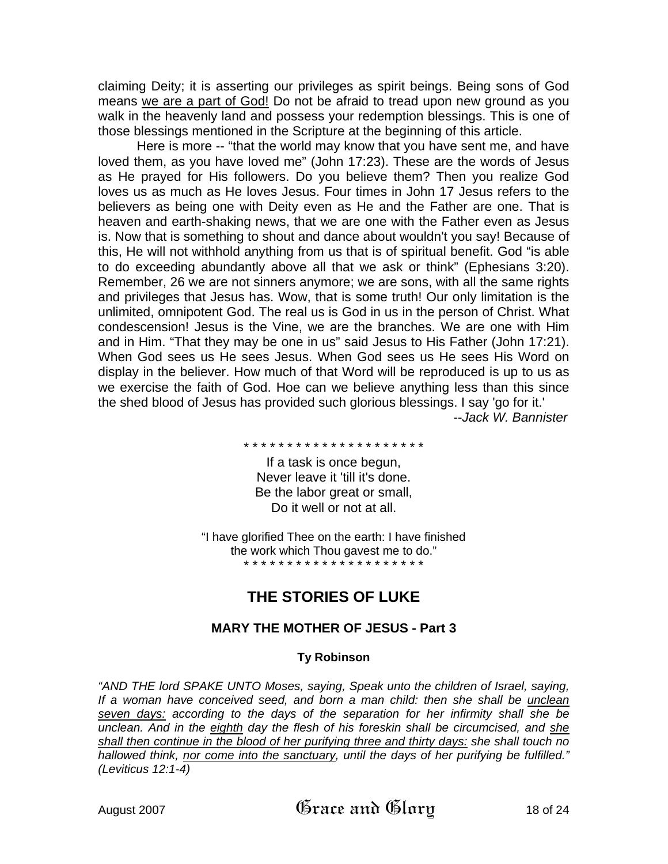claiming Deity; it is asserting our privileges as spirit beings. Being sons of God means we are a part of God! Do not be afraid to tread upon new ground as you walk in the heavenly land and possess your redemption blessings. This is one of those blessings mentioned in the Scripture at the beginning of this article.

Here is more -- "that the world may know that you have sent me, and have loved them, as you have loved me" (John 17:23). These are the words of Jesus as He prayed for His followers. Do you believe them? Then you realize God loves us as much as He loves Jesus. Four times in John 17 Jesus refers to the believers as being one with Deity even as He and the Father are one. That is heaven and earth-shaking news, that we are one with the Father even as Jesus is. Now that is something to shout and dance about wouldn't you say! Because of this, He will not withhold anything from us that is of spiritual benefit. God "is able to do exceeding abundantly above all that we ask or think" (Ephesians 3:20). Remember, 26 we are not sinners anymore; we are sons, with all the same rights and privileges that Jesus has. Wow, that is some truth! Our only limitation is the unlimited, omnipotent God. The real us is God in us in the person of Christ. What condescension! Jesus is the Vine, we are the branches. We are one with Him and in Him. "That they may be one in us" said Jesus to His Father (John 17:21). When God sees us He sees Jesus. When God sees us He sees His Word on display in the believer. How much of that Word will be reproduced is up to us as we exercise the faith of God. Hoe can we believe anything less than this since the shed blood of Jesus has provided such glorious blessings. I say 'go for it.' --*Jack W. Bannister* 

\* \* \* \* \* \* \* \* \* \* \* \* \* \* \* \* \* \* \* \* \*

If a task is once begun, Never leave it 'till it's done. Be the labor great or small, Do it well or not at all.

"I have glorified Thee on the earth: I have finished the work which Thou gavest me to do." \* \* \* \* \* \* \* \* \* \* \* \* \* \* \* \* \* \* \* \* \*

# **THE STORIES OF LUKE**

## **MARY THE MOTHER OF JESUS - Part 3**

#### **Ty Robinson**

*"AND THE lord SPAKE UNTO Moses, saying, Speak unto the children of Israel, saying, If a woman have conceived seed, and born a man child: then she shall be unclean seven days: according to the days of the separation for her infirmity shall she be unclean. And in the eighth day the flesh of his foreskin shall be circumcised, and she shall then continue in the blood of her purifying three and thirty days: she shall touch no hallowed think, nor come into the sanctuary, until the days of her purifying be fulfilled." (Leviticus 12:1-4)*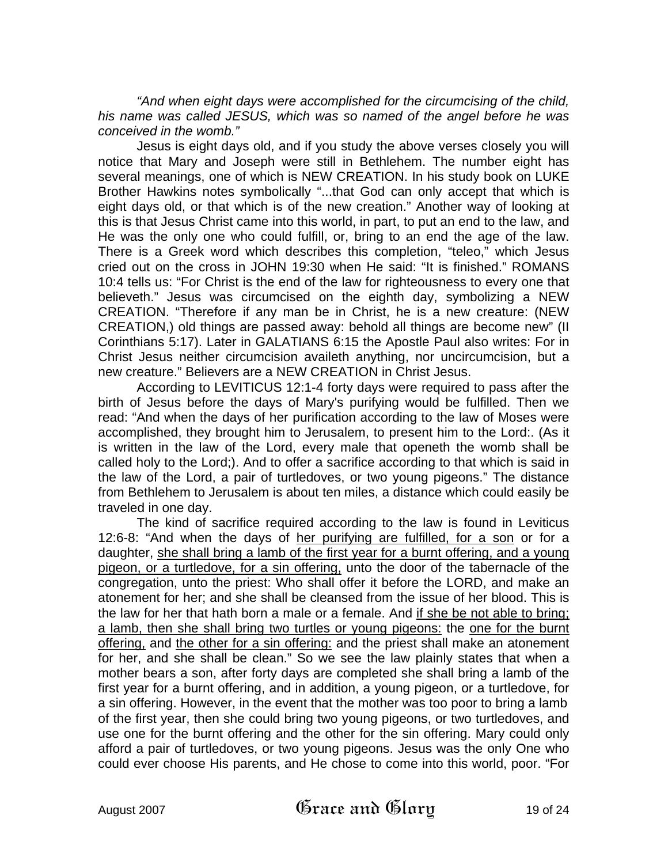*"And when eight days were accomplished for the circumcising of the child, his name was called JESUS, which was so named of the angel before he was conceived in the womb."* 

Jesus is eight days old, and if you study the above verses closely you will notice that Mary and Joseph were still in Bethlehem. The number eight has several meanings, one of which is NEW CREATION. In his study book on LUKE Brother Hawkins notes symbolically "...that God can only accept that which is eight days old, or that which is of the new creation." Another way of looking at this is that Jesus Christ came into this world, in part, to put an end to the law, and He was the only one who could fulfill, or, bring to an end the age of the law. There is a Greek word which describes this completion, "teleo," which Jesus cried out on the cross in JOHN 19:30 when He said: "It is finished." ROMANS 10:4 tells us: "For Christ is the end of the law for righteousness to every one that believeth." Jesus was circumcised on the eighth day, symbolizing a NEW CREATION. "Therefore if any man be in Christ, he is a new creature: (NEW CREATION,) old things are passed away: behold all things are become new" (II Corinthians 5:17). Later in GALATIANS 6:15 the Apostle Paul also writes: For in Christ Jesus neither circumcision availeth anything, nor uncircumcision, but a new creature." Believers are a NEW CREATION in Christ Jesus.

According to LEVITICUS 12:1-4 forty days were required to pass after the birth of Jesus before the days of Mary's purifying would be fulfilled. Then we read: "And when the days of her purification according to the law of Moses were accomplished, they brought him to Jerusalem, to present him to the Lord:. (As it is written in the law of the Lord, every male that openeth the womb shall be called holy to the Lord;). And to offer a sacrifice according to that which is said in the law of the Lord, a pair of turtledoves, or two young pigeons." The distance from Bethlehem to Jerusalem is about ten miles, a distance which could easily be traveled in one day.

The kind of sacrifice required according to the law is found in Leviticus 12:6-8: "And when the days of her purifying are fulfilled, for a son or for a daughter, she shall bring a lamb of the first year for a burnt offering, and a young pigeon, or a turtledove, for a sin offering, unto the door of the tabernacle of the congregation, unto the priest: Who shall offer it before the LORD, and make an atonement for her; and she shall be cleansed from the issue of her blood. This is the law for her that hath born a male or a female. And if she be not able to bring; a lamb, then she shall bring two turtles or young pigeons: the one for the burnt offering, and the other for a sin offering: and the priest shall make an atonement for her, and she shall be clean." So we see the law plainly states that when a mother bears a son, after forty days are completed she shall bring a lamb of the first year for a burnt offering, and in addition, a young pigeon, or a turtledove, for a sin offering. However, in the event that the mother was too poor to bring a lamb of the first year, then she could bring two young pigeons, or two turtledoves, and use one for the burnt offering and the other for the sin offering. Mary could only afford a pair of turtledoves, or two young pigeons. Jesus was the only One who could ever choose His parents, and He chose to come into this world, poor. "For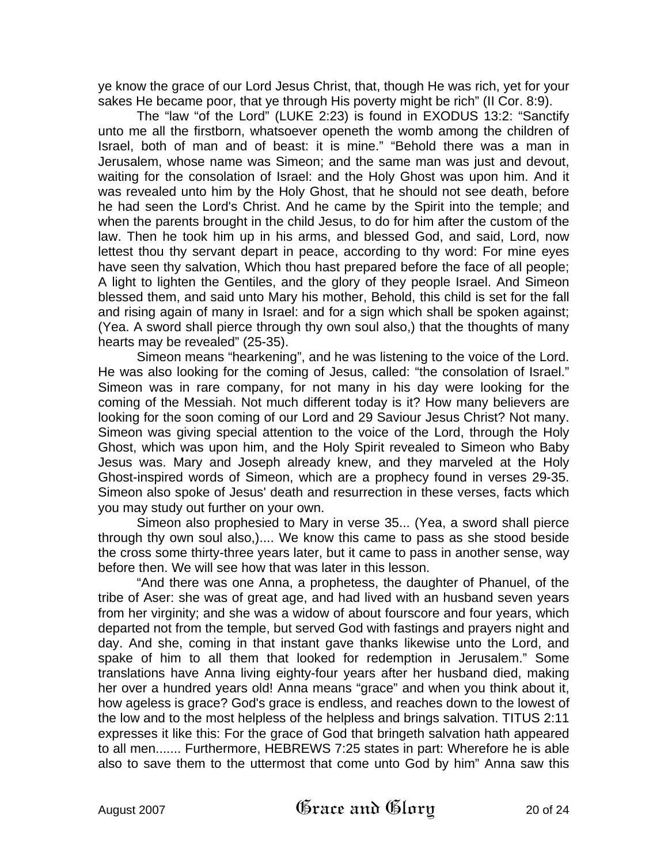ye know the grace of our Lord Jesus Christ, that, though He was rich, yet for your sakes He became poor, that ye through His poverty might be rich" (II Cor. 8:9).

The "law "of the Lord" (LUKE 2:23) is found in EXODUS 13:2: "Sanctify unto me all the firstborn, whatsoever openeth the womb among the children of Israel, both of man and of beast: it is mine." "Behold there was a man in Jerusalem, whose name was Simeon; and the same man was just and devout, waiting for the consolation of Israel: and the Holy Ghost was upon him. And it was revealed unto him by the Holy Ghost, that he should not see death, before he had seen the Lord's Christ. And he came by the Spirit into the temple; and when the parents brought in the child Jesus, to do for him after the custom of the law. Then he took him up in his arms, and blessed God, and said, Lord, now lettest thou thy servant depart in peace, according to thy word: For mine eyes have seen thy salvation, Which thou hast prepared before the face of all people; A light to lighten the Gentiles, and the glory of they people Israel. And Simeon blessed them, and said unto Mary his mother, Behold, this child is set for the fall and rising again of many in Israel: and for a sign which shall be spoken against; (Yea. A sword shall pierce through thy own soul also,) that the thoughts of many hearts may be revealed" (25-35).

Simeon means "hearkening", and he was listening to the voice of the Lord. He was also looking for the coming of Jesus, called: "the consolation of Israel." Simeon was in rare company, for not many in his day were looking for the coming of the Messiah. Not much different today is it? How many believers are looking for the soon coming of our Lord and 29 Saviour Jesus Christ? Not many. Simeon was giving special attention to the voice of the Lord, through the Holy Ghost, which was upon him, and the Holy Spirit revealed to Simeon who Baby Jesus was. Mary and Joseph already knew, and they marveled at the Holy Ghost-inspired words of Simeon, which are a prophecy found in verses 29-35. Simeon also spoke of Jesus' death and resurrection in these verses, facts which you may study out further on your own.

Simeon also prophesied to Mary in verse 35... (Yea, a sword shall pierce through thy own soul also,).... We know this came to pass as she stood beside the cross some thirty-three years later, but it came to pass in another sense, way before then. We will see how that was later in this lesson.

"And there was one Anna, a prophetess, the daughter of Phanuel, of the tribe of Aser: she was of great age, and had lived with an husband seven years from her virginity; and she was a widow of about fourscore and four years, which departed not from the temple, but served God with fastings and prayers night and day. And she, coming in that instant gave thanks likewise unto the Lord, and spake of him to all them that looked for redemption in Jerusalem." Some translations have Anna living eighty-four years after her husband died, making her over a hundred years old! Anna means "grace" and when you think about it, how ageless is grace? God's grace is endless, and reaches down to the lowest of the low and to the most helpless of the helpless and brings salvation. TITUS 2:11 expresses it like this: For the grace of God that bringeth salvation hath appeared to all men....... Furthermore, HEBREWS 7:25 states in part: Wherefore he is able also to save them to the uttermost that come unto God by him" Anna saw this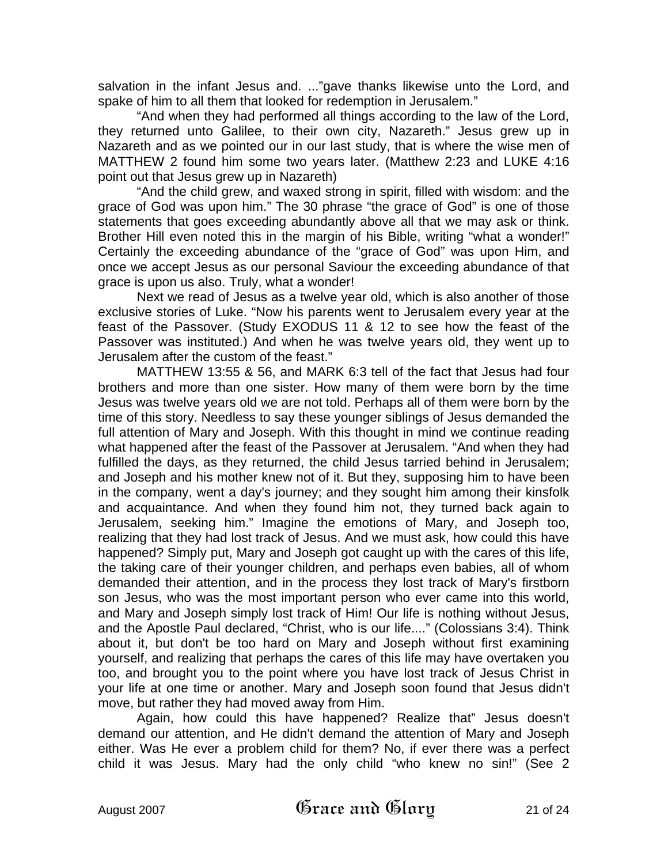salvation in the infant Jesus and. ..."gave thanks likewise unto the Lord, and spake of him to all them that looked for redemption in Jerusalem."

"And when they had performed all things according to the law of the Lord, they returned unto Galilee, to their own city, Nazareth." Jesus grew up in Nazareth and as we pointed our in our last study, that is where the wise men of MATTHEW 2 found him some two years later. (Matthew 2:23 and LUKE 4:16 point out that Jesus grew up in Nazareth)

"And the child grew, and waxed strong in spirit, filled with wisdom: and the grace of God was upon him." The 30 phrase "the grace of God" is one of those statements that goes exceeding abundantly above all that we may ask or think. Brother Hill even noted this in the margin of his Bible, writing "what a wonder!" Certainly the exceeding abundance of the "grace of God" was upon Him, and once we accept Jesus as our personal Saviour the exceeding abundance of that grace is upon us also. Truly, what a wonder!

Next we read of Jesus as a twelve year old, which is also another of those exclusive stories of Luke. "Now his parents went to Jerusalem every year at the feast of the Passover. (Study EXODUS 11 & 12 to see how the feast of the Passover was instituted.) And when he was twelve years old, they went up to Jerusalem after the custom of the feast."

MATTHEW 13:55 & 56, and MARK 6:3 tell of the fact that Jesus had four brothers and more than one sister. How many of them were born by the time Jesus was twelve years old we are not told. Perhaps all of them were born by the time of this story. Needless to say these younger siblings of Jesus demanded the full attention of Mary and Joseph. With this thought in mind we continue reading what happened after the feast of the Passover at Jerusalem. "And when they had fulfilled the days, as they returned, the child Jesus tarried behind in Jerusalem; and Joseph and his mother knew not of it. But they, supposing him to have been in the company, went a day's journey; and they sought him among their kinsfolk and acquaintance. And when they found him not, they turned back again to Jerusalem, seeking him." Imagine the emotions of Mary, and Joseph too, realizing that they had lost track of Jesus. And we must ask, how could this have happened? Simply put, Mary and Joseph got caught up with the cares of this life, the taking care of their younger children, and perhaps even babies, all of whom demanded their attention, and in the process they lost track of Mary's firstborn son Jesus, who was the most important person who ever came into this world, and Mary and Joseph simply lost track of Him! Our life is nothing without Jesus, and the Apostle Paul declared, "Christ, who is our life...." (Colossians 3:4). Think about it, but don't be too hard on Mary and Joseph without first examining yourself, and realizing that perhaps the cares of this life may have overtaken you too, and brought you to the point where you have lost track of Jesus Christ in your life at one time or another. Mary and Joseph soon found that Jesus didn't move, but rather they had moved away from Him.

Again, how could this have happened? Realize that" Jesus doesn't demand our attention, and He didn't demand the attention of Mary and Joseph either. Was He ever a problem child for them? No, if ever there was a perfect child it was Jesus. Mary had the only child "who knew no sin!" (See 2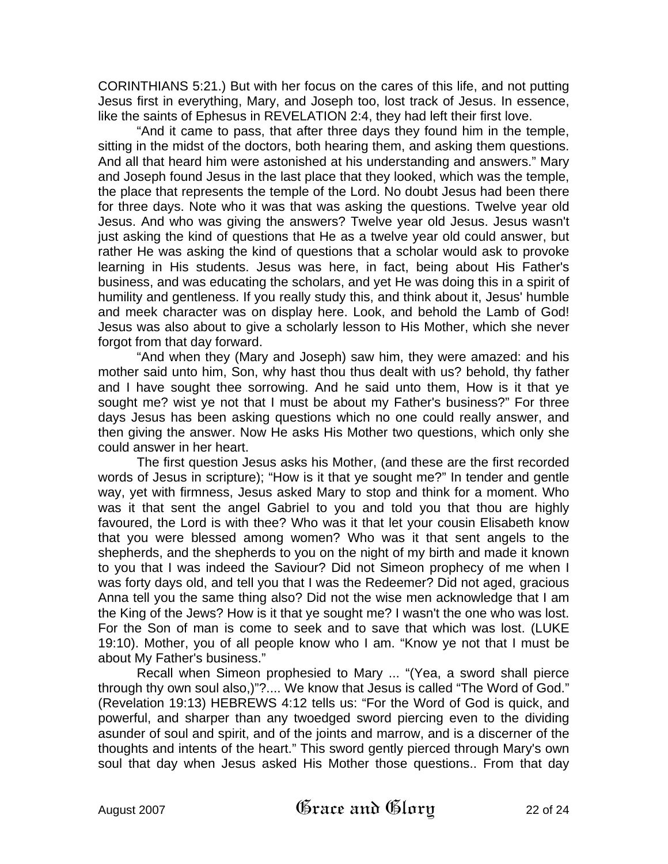CORINTHIANS 5:21.) But with her focus on the cares of this life, and not putting Jesus first in everything, Mary, and Joseph too, lost track of Jesus. In essence, like the saints of Ephesus in REVELATION 2:4, they had left their first love.

"And it came to pass, that after three days they found him in the temple, sitting in the midst of the doctors, both hearing them, and asking them questions. And all that heard him were astonished at his understanding and answers." Mary and Joseph found Jesus in the last place that they looked, which was the temple, the place that represents the temple of the Lord. No doubt Jesus had been there for three days. Note who it was that was asking the questions. Twelve year old Jesus. And who was giving the answers? Twelve year old Jesus. Jesus wasn't just asking the kind of questions that He as a twelve year old could answer, but rather He was asking the kind of questions that a scholar would ask to provoke learning in His students. Jesus was here, in fact, being about His Father's business, and was educating the scholars, and yet He was doing this in a spirit of humility and gentleness. If you really study this, and think about it, Jesus' humble and meek character was on display here. Look, and behold the Lamb of God! Jesus was also about to give a scholarly lesson to His Mother, which she never forgot from that day forward.

"And when they (Mary and Joseph) saw him, they were amazed: and his mother said unto him, Son, why hast thou thus dealt with us? behold, thy father and I have sought thee sorrowing. And he said unto them, How is it that ye sought me? wist ye not that I must be about my Father's business?" For three days Jesus has been asking questions which no one could really answer, and then giving the answer. Now He asks His Mother two questions, which only she could answer in her heart.

The first question Jesus asks his Mother, (and these are the first recorded words of Jesus in scripture); "How is it that ye sought me?" In tender and gentle way, yet with firmness, Jesus asked Mary to stop and think for a moment. Who was it that sent the angel Gabriel to you and told you that thou are highly favoured, the Lord is with thee? Who was it that let your cousin Elisabeth know that you were blessed among women? Who was it that sent angels to the shepherds, and the shepherds to you on the night of my birth and made it known to you that I was indeed the Saviour? Did not Simeon prophecy of me when I was forty days old, and tell you that I was the Redeemer? Did not aged, gracious Anna tell you the same thing also? Did not the wise men acknowledge that I am the King of the Jews? How is it that ye sought me? I wasn't the one who was lost. For the Son of man is come to seek and to save that which was lost. (LUKE 19:10). Mother, you of all people know who I am. "Know ye not that I must be about My Father's business."

Recall when Simeon prophesied to Mary ... "(Yea, a sword shall pierce through thy own soul also,)"?.... We know that Jesus is called "The Word of God." (Revelation 19:13) HEBREWS 4:12 tells us: "For the Word of God is quick, and powerful, and sharper than any twoedged sword piercing even to the dividing asunder of soul and spirit, and of the joints and marrow, and is a discerner of the thoughts and intents of the heart." This sword gently pierced through Mary's own soul that day when Jesus asked His Mother those questions.. From that day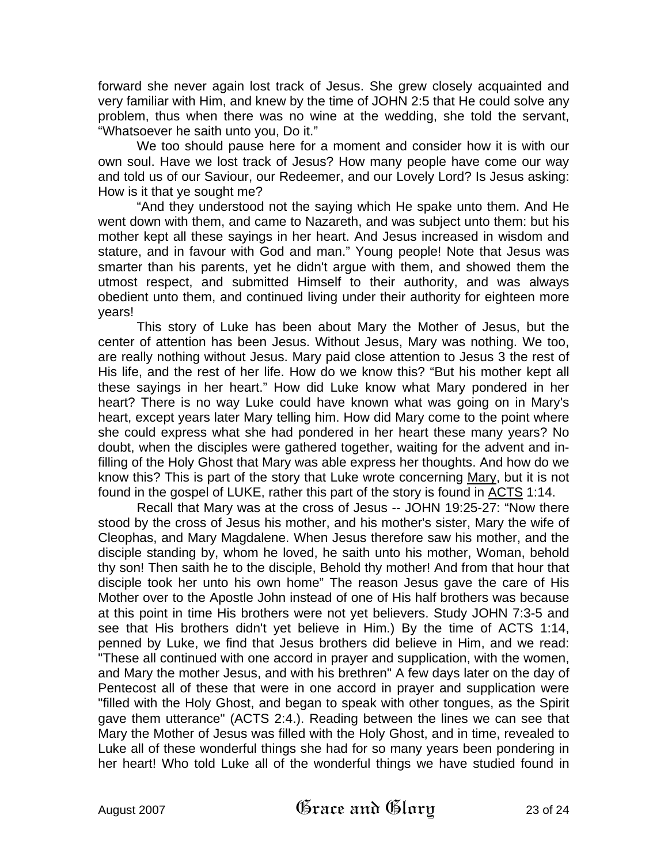forward she never again lost track of Jesus. She grew closely acquainted and very familiar with Him, and knew by the time of JOHN 2:5 that He could solve any problem, thus when there was no wine at the wedding, she told the servant, "Whatsoever he saith unto you, Do it."

We too should pause here for a moment and consider how it is with our own soul. Have we lost track of Jesus? How many people have come our way and told us of our Saviour, our Redeemer, and our Lovely Lord? Is Jesus asking: How is it that ye sought me?

"And they understood not the saying which He spake unto them. And He went down with them, and came to Nazareth, and was subject unto them: but his mother kept all these sayings in her heart. And Jesus increased in wisdom and stature, and in favour with God and man." Young people! Note that Jesus was smarter than his parents, yet he didn't argue with them, and showed them the utmost respect, and submitted Himself to their authority, and was always obedient unto them, and continued living under their authority for eighteen more years!

This story of Luke has been about Mary the Mother of Jesus, but the center of attention has been Jesus. Without Jesus, Mary was nothing. We too, are really nothing without Jesus. Mary paid close attention to Jesus 3 the rest of His life, and the rest of her life. How do we know this? "But his mother kept all these sayings in her heart." How did Luke know what Mary pondered in her heart? There is no way Luke could have known what was going on in Mary's heart, except years later Mary telling him. How did Mary come to the point where she could express what she had pondered in her heart these many years? No doubt, when the disciples were gathered together, waiting for the advent and infilling of the Holy Ghost that Mary was able express her thoughts. And how do we know this? This is part of the story that Luke wrote concerning Mary, but it is not found in the gospel of LUKE, rather this part of the story is found in ACTS 1:14.

Recall that Mary was at the cross of Jesus -- JOHN 19:25-27: "Now there stood by the cross of Jesus his mother, and his mother's sister, Mary the wife of Cleophas, and Mary Magdalene. When Jesus therefore saw his mother, and the disciple standing by, whom he loved, he saith unto his mother, Woman, behold thy son! Then saith he to the disciple, Behold thy mother! And from that hour that disciple took her unto his own home" The reason Jesus gave the care of His Mother over to the Apostle John instead of one of His half brothers was because at this point in time His brothers were not yet believers. Study JOHN 7:3-5 and see that His brothers didn't yet believe in Him.) By the time of ACTS 1:14, penned by Luke, we find that Jesus brothers did believe in Him, and we read: "These all continued with one accord in prayer and supplication, with the women, and Mary the mother Jesus, and with his brethren" A few days later on the day of Pentecost all of these that were in one accord in prayer and supplication were "filled with the Holy Ghost, and began to speak with other tongues, as the Spirit gave them utterance" (ACTS 2:4.). Reading between the lines we can see that Mary the Mother of Jesus was filled with the Holy Ghost, and in time, revealed to Luke all of these wonderful things she had for so many years been pondering in her heart! Who told Luke all of the wonderful things we have studied found in